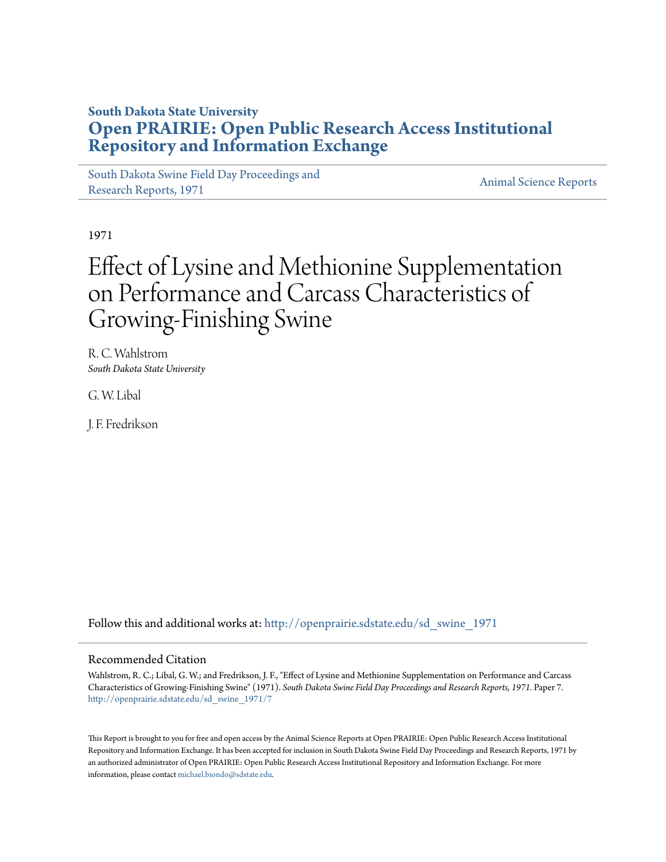## **South Dakota State University [Open PRAIRIE: Open Public Research Access Institutional](http://openprairie.sdstate.edu?utm_source=openprairie.sdstate.edu%2Fsd_swine_1971%2F7&utm_medium=PDF&utm_campaign=PDFCoverPages) [Repository and Information Exchange](http://openprairie.sdstate.edu?utm_source=openprairie.sdstate.edu%2Fsd_swine_1971%2F7&utm_medium=PDF&utm_campaign=PDFCoverPages)**

[South Dakota Swine Field Day Proceedings and](http://openprairie.sdstate.edu/sd_swine_1971?utm_source=openprairie.sdstate.edu%2Fsd_swine_1971%2F7&utm_medium=PDF&utm_campaign=PDFCoverPages) [Research Reports, 1971](http://openprairie.sdstate.edu/sd_swine_1971?utm_source=openprairie.sdstate.edu%2Fsd_swine_1971%2F7&utm_medium=PDF&utm_campaign=PDFCoverPages)<br>Research Reports, 1971

1971

# Effect of Lysine and Methionine Supplementation on Performance and Carcass Characteristics of Growing-Finishing Swine

R. C. Wahlstrom *South Dakota State University*

G. W. Libal

J. F. Fredrikson

Follow this and additional works at: [http://openprairie.sdstate.edu/sd\\_swine\\_1971](http://openprairie.sdstate.edu/sd_swine_1971?utm_source=openprairie.sdstate.edu%2Fsd_swine_1971%2F7&utm_medium=PDF&utm_campaign=PDFCoverPages)

### Recommended Citation

Wahlstrom, R. C.; Libal, G. W.; and Fredrikson, J. F., "Effect of Lysine and Methionine Supplementation on Performance and Carcass Characteristics of Growing-Finishing Swine" (1971). *South Dakota Swine Field Day Proceedings and Research Reports, 1971.* Paper 7. [http://openprairie.sdstate.edu/sd\\_swine\\_1971/7](http://openprairie.sdstate.edu/sd_swine_1971/7?utm_source=openprairie.sdstate.edu%2Fsd_swine_1971%2F7&utm_medium=PDF&utm_campaign=PDFCoverPages)

This Report is brought to you for free and open access by the Animal Science Reports at Open PRAIRIE: Open Public Research Access Institutional Repository and Information Exchange. It has been accepted for inclusion in South Dakota Swine Field Day Proceedings and Research Reports, 1971 by an authorized administrator of Open PRAIRIE: Open Public Research Access Institutional Repository and Information Exchange. For more information, please contact [michael.biondo@sdstate.edu](mailto:michael.biondo@sdstate.edu).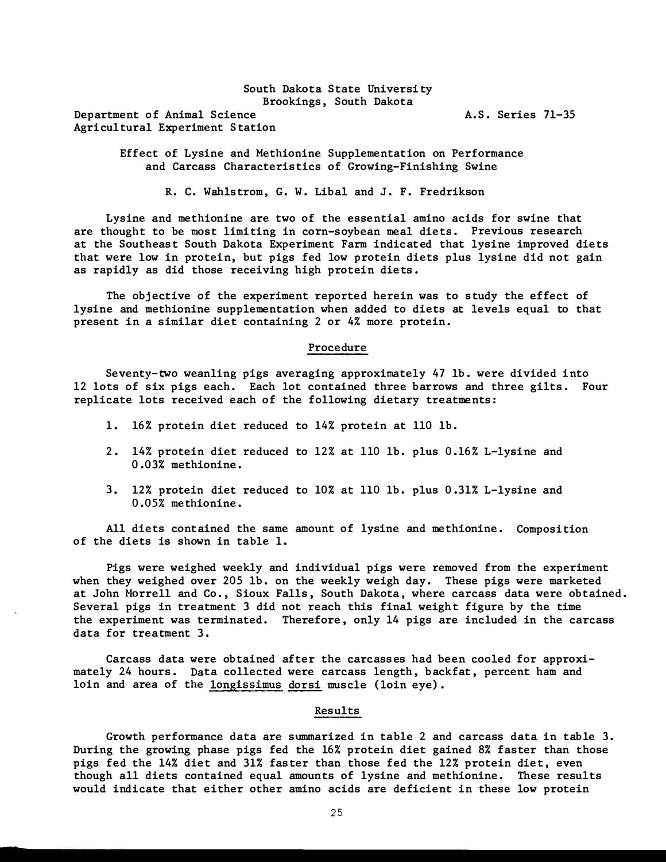South Dakota State University Brookings , South Dakota Department of Animal Science Agri cultural Experiment S tation

A.S. Series 71-35

Effect of Lysine and Methionine Supplementation on Performance and Carcass Characteristics of Growing-Finishing Swine

R. C. Wahlstrom, G. W. Libal and J. F. Fredrikson

Lysine and methionine are two of the essential amino acids for swine that are thought to be most limiting in com-soybean meal diets. Previous research at the Southeast South Dakota Experiment Farm indicated that lysine improved diets that were low in protein, but pigs fed low protein diets plus lysine did not gain as rapidly as did those receiving high protein diets.

The objective of the experiment reported herein was to study the effect of lysine and methionine supplementation when added to diets at levels equal to that present in a similar diet containing 2 or 4% more protein.

#### Procedure

Seventy-two weanling pigs averaging approximately 47 lb. were divided into 12 lots of six pigs each. Each lot contained three barrows and three gilts. Four replicate lots received each of the following dietary treatments:

- 1. 16% protein diet reduced to 14% protein at 110 lb.
- 2. 14% protein diet reduced to 12% at 110 lb. plus 0. 16% L-lysine and 0.03% methionine.
- 3. 12% protein diet reduced to 10% at 110 lb. plus 0.31% L-lysine and 0.05% methionine.

All diets contained the same amount of lysine and methionine. Composition of the diets is shown in table 1.

Pigs were weighed weekly and individual pigs were removed from the experiment when they weighed over 205 lb. on the weekly weigh day. These pigs were marketed at John Morrell and Co., Sioux Falls, South Dakota, where carcass data were obtained. Several pigs in treatment 3 did not reach this final weight figure by the time the experiment was terminated. Therefore , only 14 pigs are included in the carcass data for treatment 3.

Carcass data were obtained after the carcasses had been cooled for approximately 24 hours. Data collected were carcass length, backfat, percent ham and loin and area of the longissimus dorsi muscle (loin eye).

#### Results

Growth performance data are summarized in table 2 and carcass data in table 3. During the growing phase pigs fed the 16% protein diet gained 8% faster than those pigs fed the 14% diet and 31% faster than those fed the 12% protein diet, even though all diets contained equal amounts of lysine and methionine. These results would indicate that either other amino acids are deficient in these low protein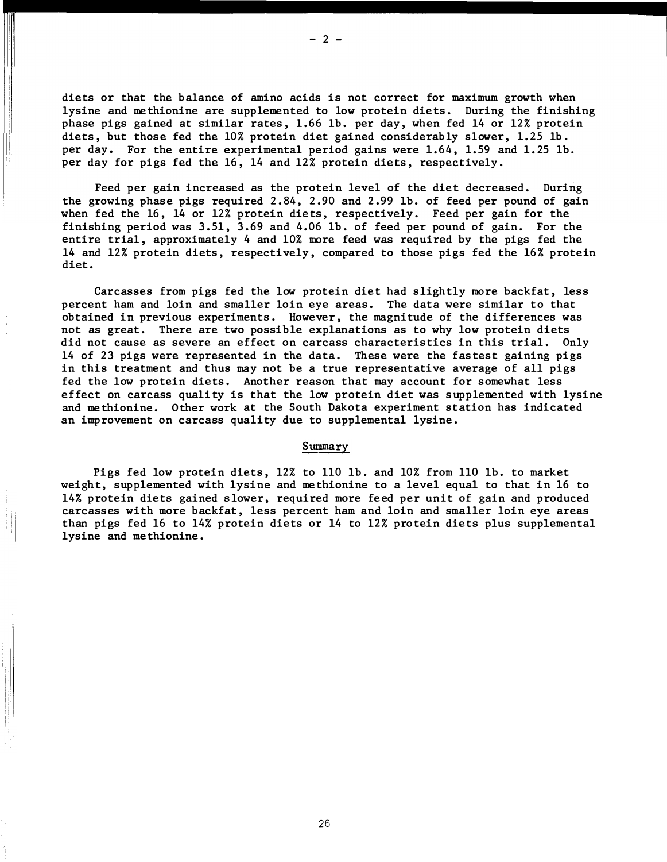diets or that the balance of amino acids is not correct for maximum growth when lysine and methionine are supplemented to low protein diets. During the finishing phase pigs gained at similar rates, 1.66 lb. per day, when fed 14 or 12% protein diets, but those fed the 10% protein diet gained considerably slower, 1.25 lb. per day. For the entire experimental period gains were 1.64, 1.59 and 1.25 lb. per day for pigs fed the 16, 14 and 12% protein diets, respectively.

Feed per gain increased as the protein level of the diet decreased. During the growing phase pigs required 2.84 , 2.90 and 2.99 lb. of feed per pound of gain when fed the 16, 14 or 12% protein diets, respectively. Feed per gain for the finishing period was 3.51 , 3.69 and 4.06 lb. of feed per pound of gain. For the entire trial, approximately 4 and 10% more feed was required by the pigs fed the 14 and 12% protein diets, respectively, compared to those pigs fed the 16% protein diet.

Carcasses from pigs fed the low protein diet had slightly more backfat, less percent ham and loin and smaller loin eye areas. The data were similar to that obtained in previous experiments. However , the magnitude of the differences was not as great. There are two possible explanations as to why low protein diets did not cause as severe an effect on carcass characteristics in this trial. Only 14 of 23 pigs were represented in the data. These were the fastest gaining pigs in this treatment and thus may not be a true representative average of all pigs fed the low protein diets. Another reason that may account for somewhat less effect on carcass quality is that the low protein diet was supplemented with lysine and methionine. O ther work at the South Dakota experiment station has indicated an improvement on carcass quality due to supplemental lysine.

#### Summary

Pigs fed low protein diets, 12% to 110 lb. and 10% from 110 lb. to market weight, supplemented with lysine and me thionine to a level equal to that in 16 to 14% protein diets gained slower, required more feed per unit of gain and produced carcasses with more backfat, less percent ham and loin and smaller loin eye areas than pigs fed 16 to 14% protein diets or 14 to 12% protein diets plus supplemental lysine and methionine.

26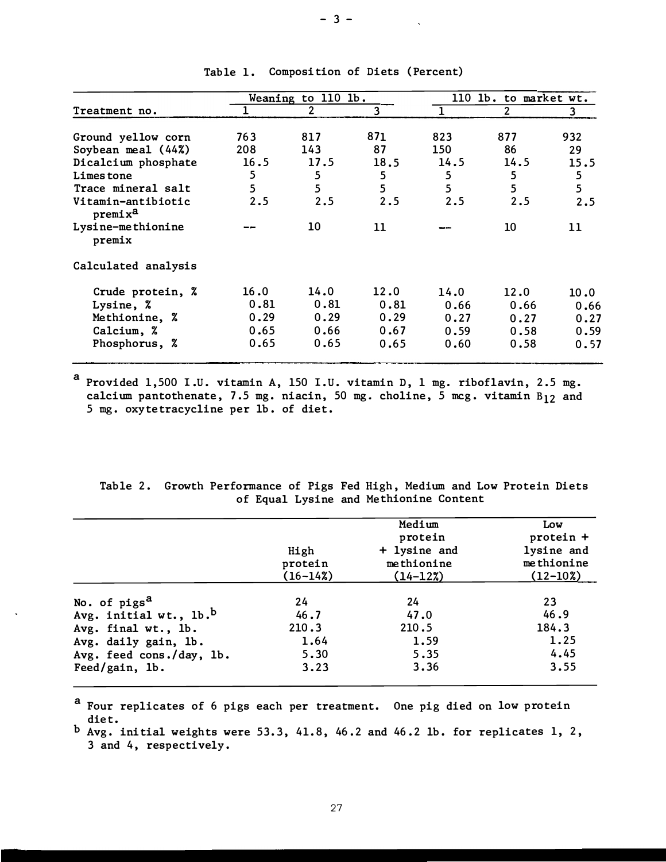|                                           | Weaning to 110 1b. |                |      | 110 lb. to market wt. |      |      |
|-------------------------------------------|--------------------|----------------|------|-----------------------|------|------|
| Treatment no.                             |                    | $\overline{2}$ | 3    |                       | 2    | 3    |
|                                           |                    |                |      |                       |      |      |
| Ground yellow corn                        | 763                | 817            | 871  | 823                   | 877  | 932  |
| Soybean meal $(44%)$                      | 208                | 143            | 87   | 150                   | 86   | 29   |
| Dicalcium phosphate                       | 16.5               | 17.5           | 18.5 | 14.5                  | 14.5 | 15.5 |
| Limes tone                                | 5                  | 5              | 5    | 5                     | 5    | 5    |
| Trace mineral salt                        | 5                  | 5              | 5    | 5                     | 5    | 5    |
| Vitamin-antibiotic<br>premix <sup>a</sup> | 2.5                | 2.5            | 2.5  | 2.5                   | 2.5  | 2.5  |
| Lysine-methionine<br>premix               |                    | 10             | 11   |                       | 10   | 11   |
| Calculated analysis                       |                    |                |      |                       |      |      |
| Crude protein, %                          | 16.0               | 14.0           | 12.0 | 14.0                  | 12.0 | 10.0 |
| Lysine, %                                 | 0.81               | 0.81           | 0.81 | 0.66                  | 0.66 | 0.66 |
| Methionine, %                             | 0.29               | 0.29           | 0.29 | 0.27                  | 0.27 | 0.27 |
| Calcium, %                                | 0.65               | 0.66           | 0.67 | 0.59                  | 0.58 | 0.59 |
| Phosphorus, %                             | 0.65               | 0.65           | 0.65 | 0.60                  | 0.58 | 0.57 |

Table 1. Composition of Diets (Percent)

a Provided 1,500 I.U. vitamin A, 150 I.U. vitamin D, 1 mg. riboflavin, 2.5 mg. calcium pantothenate, 7.5 mg. niacin, 50 mg. choline, 5 mcg. vitamin  $B_{12}$  and 5 mg. oxyte tracycline per lb . of diet .

| of Equal Lysine and Methionine Content |  |
|----------------------------------------|--|

|                                    | High<br>protein<br>$(16 - 14\%)$ | Medium<br>protein<br>+ lysine and<br>methionine<br>$(14-12\%)$ | Low<br>protein +<br>lysine and<br>methionine<br>$(12-10\%)$ |
|------------------------------------|----------------------------------|----------------------------------------------------------------|-------------------------------------------------------------|
|                                    |                                  |                                                                |                                                             |
| No. of pigs <sup>a</sup>           | 24                               | 24                                                             | 23                                                          |
| Avg. initial wt., lb. <sup>b</sup> | 46.7                             | 47.0                                                           | 46.9                                                        |
| Avg. final wt., lb.                | 210.3                            | 210.5                                                          | 184.3                                                       |
| Avg. daily gain, lb.               | 1.64                             | 1.59                                                           | 1.25                                                        |
| Avg. feed cons./day, lb.           | 5.30                             | 5.35                                                           | 4.45                                                        |
| Feed/gain, lb.                     | 3.23                             | 3.36                                                           | 3.55                                                        |

<sup>a</sup> Four replicates of 6 pigs each per treatment. One pig died on low protein diet.

 $b$  Avg. initial weights were 53.3, 41.8, 46.2 and 46.2 lb. for replicates 1, 2, 3 and 4, respectively .